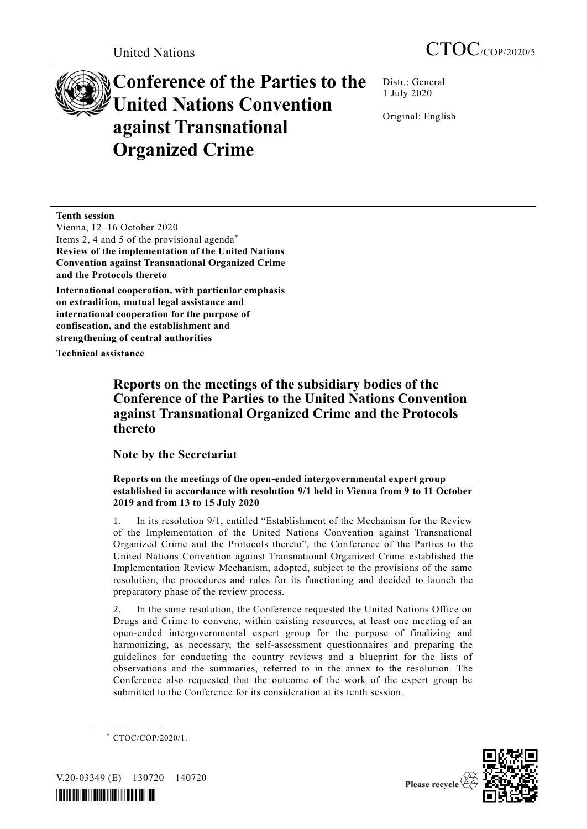# **Conference of the Parties to the United Nations Convention against Transnational Organized Crime**

Distr.: General 1 July 2020

Original: English

**Tenth session** 

Vienna, 12–16 October 2020 Items 2, 4 and 5 of the provisional agenda\* **Review of the implementation of the United Nations Convention against Transnational Organized Crime and the Protocols thereto**

**International cooperation, with particular emphasis on extradition, mutual legal assistance and international cooperation for the purpose of confiscation, and the establishment and strengthening of central authorities**

**Technical assistance**

# **Reports on the meetings of the subsidiary bodies of the Conference of the Parties to the United Nations Convention against Transnational Organized Crime and the Protocols thereto**

## **Note by the Secretariat**

### **Reports on the meetings of the open-ended intergovernmental expert group established in accordance with resolution 9/1 held in Vienna from 9 to 11 October 2019 and from 13 to 15 July 2020**

1. In its resolution 9/1, entitled "Establishment of the Mechanism for the Review of the Implementation of the United Nations Convention against Transnational Organized Crime and the Protocols thereto", the Conference of the Parties to the United Nations Convention against Transnational Organized Crime established the Implementation Review Mechanism, adopted, subject to the provisions of the same resolution, the procedures and rules for its functioning and decided to launch the preparatory phase of the review process.

2. In the same resolution, the Conference requested the United Nations Office on Drugs and Crime to convene, within existing resources, at least one meeting of an open-ended intergovernmental expert group for the purpose of finalizing and harmonizing, as necessary, the self-assessment questionnaires and preparing the guidelines for conducting the country reviews and a blueprint for the lists of observations and the summaries, referred to in the annex to the resolution. The Conference also requested that the outcome of the work of the expert group be submitted to the Conference for its consideration at its tenth session.



V.20-03349 (E) 130720 140720

**\_\_\_\_\_\_\_\_\_\_\_\_\_\_\_\_\_\_**



<sup>\*</sup> CTOC/COP/2020/1.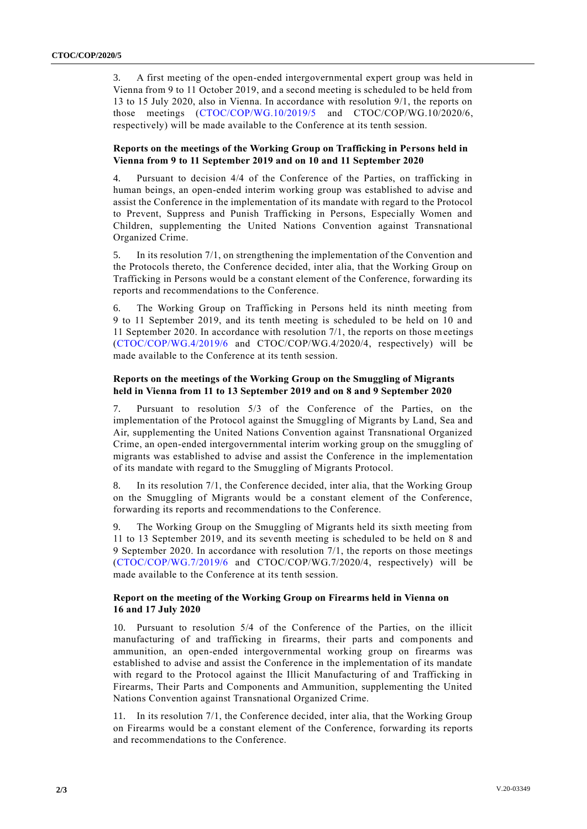3. A first meeting of the open-ended intergovernmental expert group was held in Vienna from 9 to 11 October 2019, and a second meeting is scheduled to be held from 13 to 15 July 2020, also in Vienna. In accordance with resolution 9/1, the reports on those meetings [\(CTOC/COP/WG.10/2019/5](http://undocs.org/CTOC/COP/WG.10/2019/5) and CTOC/COP/WG.10/2020/6, respectively) will be made available to the Conference at its tenth session.

#### **Reports on the meetings of the Working Group on Trafficking in Persons held in Vienna from 9 to 11 September 2019 and on 10 and 11 September 2020**

4. Pursuant to decision 4/4 of the Conference of the Parties, on trafficking in human beings, an open-ended interim working group was established to advise and assist the Conference in the implementation of its mandate with regard to the Protocol to Prevent, Suppress and Punish Trafficking in Persons, Especially Women and Children, supplementing the United Nations Convention against Transnational Organized Crime.

5. In its resolution 7/1, on strengthening the implementation of the Convention and the Protocols thereto, the Conference decided, inter alia, that the Working Group on Trafficking in Persons would be a constant element of the Conference, forwarding its reports and recommendations to the Conference.

6. The Working Group on Trafficking in Persons held its ninth meeting from 9 to 11 September 2019, and its tenth meeting is scheduled to be held on 10 and 11 September 2020. In accordance with resolution 7/1, the reports on those meetings [\(CTOC/COP/WG.4/2019/6](http://undocs.org/CTOC/COP/WG.4/2019/6) and CTOC/COP/WG.4/2020/4, respectively) will be made available to the Conference at its tenth session.

#### **Reports on the meetings of the Working Group on the Smuggling of Migrants held in Vienna from 11 to 13 September 2019 and on 8 and 9 September 2020**

7. Pursuant to resolution 5/3 of the Conference of the Parties, on the implementation of the Protocol against the Smuggling of Migrants by Land, Sea and Air, supplementing the United Nations Convention against Transnational Organized Crime, an open-ended intergovernmental interim working group on the smuggling of migrants was established to advise and assist the Conference in the implementation of its mandate with regard to the Smuggling of Migrants Protocol.

8. In its resolution 7/1, the Conference decided, inter alia, that the Working Group on the Smuggling of Migrants would be a constant element of the Conference, forwarding its reports and recommendations to the Conference.

9. The Working Group on the Smuggling of Migrants held its sixth meeting from 11 to 13 September 2019, and its seventh meeting is scheduled to be held on 8 and 9 September 2020. In accordance with resolution 7/1, the reports on those meetings [\(CTOC/COP/WG.7/2019/6](http://undocs.org/CTOC/COP/WG.7/2019/6) and CTOC/COP/WG.7/2020/4, respectively) will be made available to the Conference at its tenth session.

#### **Report on the meeting of the Working Group on Firearms held in Vienna on 16 and 17 July 2020**

10. Pursuant to resolution 5/4 of the Conference of the Parties, on the illicit manufacturing of and trafficking in firearms, their parts and components and ammunition, an open-ended intergovernmental working group on firearms was established to advise and assist the Conference in the implementation of its mandate with regard to the Protocol against the Illicit Manufacturing of and Trafficking in Firearms, Their Parts and Components and Ammunition, supplementing the United Nations Convention against Transnational Organized Crime.

11. In its resolution 7/1, the Conference decided, inter alia, that the Working Group on Firearms would be a constant element of the Conference, forwarding its reports and recommendations to the Conference.